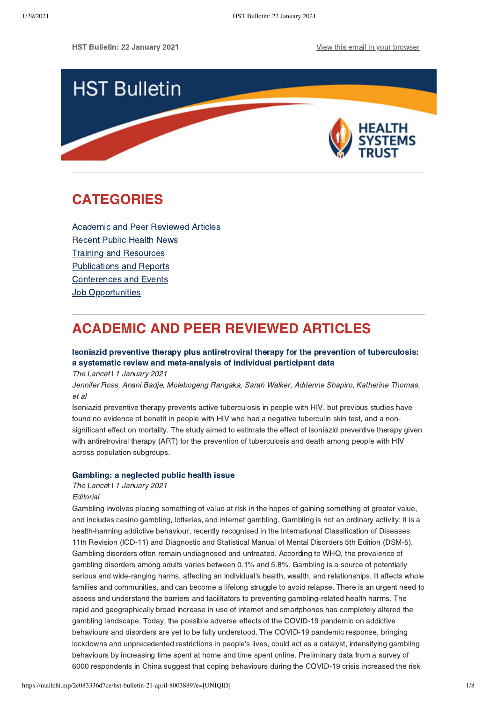HST Bulletin: 22 January 2021 [View this email in your browser](https://mailchi.mp/2c083336d7ce/hst-bulletin-21-april-8003889?e=[UNIQID])



# <span id="page-0-1"></span>CATEGORIES

[Academic and Peer Reviewed Articles](#page-0-0) [Recent Public Health News](#page-2-0) Training and Resources [Publications and Reports](#page-5-0) [Conferences and Events](#page-5-1) **[Job Opportunities](#page-6-0)** 

# <span id="page-0-0"></span>ACADEMIC AND PEER REVIEWED ARTICLES

# [Isoniazid preventive therapy plus antiretroviral therapy for the prevention of tuberculosis:](https://www.thelancet.com/journals/lanhiv/article/PIIS2352-3018(20)30299-X/fulltext%C2%A0) a systematic review and meta-analysis of individual participant data

The Lancet | 1 January 2021

Jennifer Ross, Anani Badje, Molebogeng Rangaka, Sarah Walker, Adrienne Shapiro, Katherine Thomas, et al

Isoniazid preventive therapy prevents active tuberculosis in people with HIV, but previous studies have found no evidence of benefit in people with HIV who had a negative tuberculin skin test, and a nonsignificant effect on mortality. The study aimed to estimate the effect of isoniazid preventive therapy given with antiretroviral therapy (ART) for the prevention of tuberculosis and death among people with HIV across population subgroups.

## [Gambling: a neglected public health issue](https://www.thelancet.com/journals/lanpub/article/PIIS2468-2667(20)30290-5/fulltext%C2%A0)

The Lancet | 1 January 2021

## **Editorial**

Gambling involves placing something of value at risk in the hopes of gaining something of greater value, and includes casino gambling, lotteries, and internet gambling. Gambling is not an ordinary activity: it is a health-harming addictive behaviour, recently recognised in the International Classification of Diseases 11th Revision (ICD-11) and Diagnostic and Statistical Manual of Mental Disorders 5th Edition (DSM-5). Gambling disorders often remain undiagnosed and untreated. According to WHO, the prevalence of gambling disorders among adults varies between 0.1% and 5.8%. Gambling is a source of potentially serious and wide-ranging harms, affecting an individual's health, wealth, and relationships. It affects whole families and communities, and can become a lifelong struggle to avoid relapse. There is an urgent need to assess and understand the barriers and facilitators to preventing gambling-related health harms. The rapid and geographically broad increase in use of internet and smartphones has completely altered the gambling landscape. Today, the possible adverse effects of the COVID-19 pandemic on addictive behaviours and disorders are yet to be fully understood. The COVID-19 pandemic response, bringing lockdowns and unprecedented restrictions in people's lives, could act as a catalyst, intensifying gambling behaviours by increasing time spent at home and time spent online. Preliminary data from a survey of 6000 respondents in China suggest that coping behaviours during the COVID-19 crisis increased the risk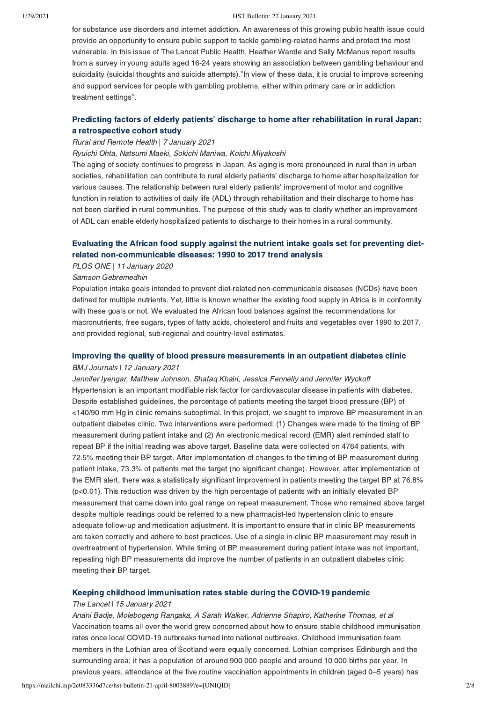for substance use disorders and internet addiction. An awareness of this growing public health issue could provide an opportunity to ensure public support to tackle gambling-related harms and protect the most vulnerable. In this issue of The Lancet Public Health, Heather Wardle and Sally McManus report results from a survey in young adults aged 16-24 years showing an association between gambling behaviour and suicidality (suicidal thoughts and suicide attempts)."In view of these data, it is crucial to improve screening and support services for people with gambling problems, either within primary care or in addiction treatment settings".

# [Predicting factors of elderly patients' discharge to home after rehabilitation in rural Japan:](https://www.rrh.org.au/journal/article/6406%C2%A0) a retrospective cohort study

## Rural and Remote Health | 7 January 2021

Ryuichi Ohta, Natsumi Maeki, Sokichi Maniwa, Koichi Miyakoshi

The aging of society continues to progress in Japan. As aging is more pronounced in rural than in urban societies, rehabilitation can contribute to rural elderly patients' discharge to home after hospitalization for various causes. The relationship between rural elderly patients' improvement of motor and cognitive function in relation to activities of daily life (ADL) through rehabilitation and their discharge to home has not been clarified in rural communities. The purpose of this study was to clarify whether an improvement of ADL can enable elderly hospitalized patients to discharge to their homes in a rural community.

# [Evaluating the African food supply against the nutrient intake goals set for preventing diet](https://journals.plos.org/plosone/article?id=10.1371/journal.pone.0245241%C2%A0)related non-communicable diseases: 1990 to 2017 trend analysis

### PLOS ONE | 11 January 2020

#### Samson Gebremedhin

Population intake goals intended to prevent diet-related non-communicable diseases (NCDs) have been defined for multiple nutrients. Yet, little is known whether the existing food supply in Africa is in conformity with these goals or not. We evaluated the African food balances against the recommendations for macronutrients, free sugars, types of fatty acids, cholesterol and fruits and vegetables over 1990 to 2017, and provided regional, sub-regional and country-level estimates.

## [Improving the quality of blood pressure measurements in an outpatient diabetes clinic](https://bmjopenquality.bmj.com/content/10/1/e000917%C2%A0) BMJ Journals ǀ 12 January 2021

Jennifer Iyengar, Matthew Johnson, Shafaq Khairi, Jessica Fennelly and Jennifer Wyckoff Hypertension is an important modifiable risk factor for cardiovascular disease in patients with diabetes. Despite established guidelines, the percentage of patients meeting the target blood pressure (BP) of <140/90 mm Hg in clinic remains suboptimal. In this project, we sought to improve BP measurement in an outpatient diabetes clinic. Two interventions were performed: (1) Changes were made to the timing of BP measurement during patient intake and (2) An electronic medical record (EMR) alert reminded staff to repeat BP if the initial reading was above target. Baseline data were collected on 4764 patients, with 72.5% meeting their BP target. After implementation of changes to the timing of BP measurement during patient intake, 73.3% of patients met the target (no significant change). However, after implementation of the EMR alert, there was a statistically significant improvement in patients meeting the target BP at 76.8% (p<0.01). This reduction was driven by the high percentage of patients with an initially elevated BP measurement that came down into goal range on repeat measurement. Those who remained above target despite multiple readings could be referred to a new pharmacist-led hypertension clinic to ensure adequate follow-up and medication adjustment. It is important to ensure that in clinic BP measurements are taken correctly and adhere to best practices. Use of a single in-clinic BP measurement may result in overtreatment of hypertension. While timing of BP measurement during patient intake was not important, repeating high BP measurements did improve the number of patients in an outpatient diabetes clinic meeting their BP target.

## [Keeping childhood immunisation rates stable during the COVID-19 pandemic](https://www.thelancet.com/journals/laninf/article/PIIS1473-3099(20)30991-9/fulltext%C2%A0)

#### The Lancet | 15 January 2021

Anani Badje, Molebogeng Rangaka, A Sarah Walker, Adrienne Shapiro, Katherine Thomas, et al Vaccination teams all over the world grew concerned about how to ensure stable childhood immunisation rates once local COVID-19 outbreaks turned into national outbreaks. Childhood immunisation team members in the Lothian area of Scotland were equally concerned. Lothian comprises Edinburgh and the surrounding area; it has a population of around 900 000 people and around 10 000 births per year. In previous years, attendance at the five routine vaccination appointments in children (aged 0–5 years) has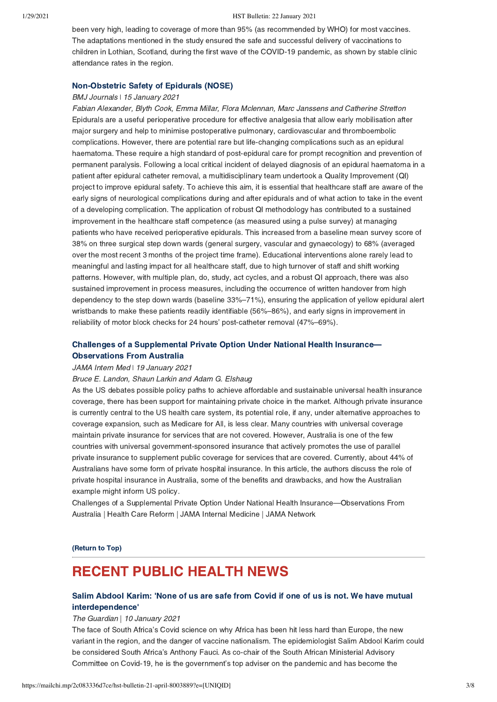been very high, leading to coverage of more than 95% (as recommended by WHO) for most vaccines. The adaptations mentioned in the study ensured the safe and successful delivery of vaccinations to children in Lothian, Scotland, during the first wave of the COVID-19 pandemic, as shown by stable clinic attendance rates in the region.

## [Non-Obstetric Safety of Epidurals \(NOSE\)](https://bmjopenquality.bmj.com/content/10/1/e000943%C2%A0)

## BMJ Journals | 15 January 2021

Fabian Alexander, Blyth Cook, Emma Millar, Flora Mclennan, Marc Janssens and Catherine Stretton Epidurals are a useful perioperative procedure for effective analgesia that allow early mobilisation after major surgery and help to minimise postoperative pulmonary, cardiovascular and thromboembolic complications. However, there are potential rare but life-changing complications such as an epidural haematoma. These require a high standard of post-epidural care for prompt recognition and prevention of permanent paralysis. Following a local critical incident of delayed diagnosis of an epidural haematoma in a patient after epidural catheter removal, a multidisciplinary team undertook a Quality Improvement (QI) project to improve epidural safety. To achieve this aim, it is essential that healthcare staff are aware of the early signs of neurological complications during and after epidurals and of what action to take in the event of a developing complication. The application of robust QI methodology has contributed to a sustained improvement in the healthcare staff competence (as measured using a pulse survey) at managing patients who have received perioperative epidurals. This increased from a baseline mean survey score of 38% on three surgical step down wards (general surgery, vascular and gynaecology) to 68% (averaged over the most recent 3 months of the project time frame). Educational interventions alone rarely lead to meaningful and lasting impact for all healthcare staff, due to high turnover of staff and shift working patterns. However, with multiple plan, do, study, act cycles, and a robust QI approach, there was also sustained improvement in process measures, including the occurrence of written handover from high dependency to the step down wards (baseline 33%–71%), ensuring the application of yellow epidural alert wristbands to make these patients readily identifiable (56%–86%), and early signs in improvement in reliability of motor block checks for 24 hours' post-catheter removal (47%–69%).

# [Challenges of a Supplemental Private Option Under National Health Insurance—](https://jamanetwork.com/journals/jamainternalmedicine/article-abstract/2775381) Observations From Australia

### JAMA Intern Med | 19 January 2021

## Bruce E. Landon, Shaun Larkin and Adam G. Elshaug

As the US debates possible policy paths to achieve affordable and sustainable universal health insurance coverage, there has been support for maintaining private choice in the market. Although private insurance is currently central to the US health care system, its potential role, if any, under alternative approaches to coverage expansion, such as Medicare for All, is less clear. Many countries with universal coverage maintain private insurance for services that are not covered. However, Australia is one of the few countries with universal government-sponsored insurance that actively promotes the use of parallel private insurance to supplement public coverage for services that are covered. Currently, about 44% of Australians have some form of private hospital insurance. In this article, the authors discuss the role of private hospital insurance in Australia, some of the benefits and drawbacks, and how the Australian example might inform US policy.

Challenges of a Supplemental Private Option Under National Health Insurance—Observations From Australia | Health Care Reform | JAMA Internal Medicine | JAMA Network

[\(Return to Top\)](#page-0-1)

# <span id="page-2-0"></span>RECENT PUBLIC HEALTH NEWS

# [Salim Abdool Karim: 'None of us are safe from Covid if one of us is not. We have mutual](https://www.theguardian.com/world/2021/jan/10/salim-abdool-karim-none-of-us-are-safe-from-covid-if-one-of-us-is-not-we-have-mutual-interdependence%C2%A0) interdependence'

### The Guardian | 10 January 2021

The face of South Africa's Covid science on why Africa has been hit less hard than Europe, the new variant in the region, and the danger of vaccine nationalism. The epidemiologist Salim Abdool Karim could be considered South Africa's Anthony Fauci. As co-chair of the South African Ministerial Advisory Committee on Covid-19, he is the government's top adviser on the pandemic and has become the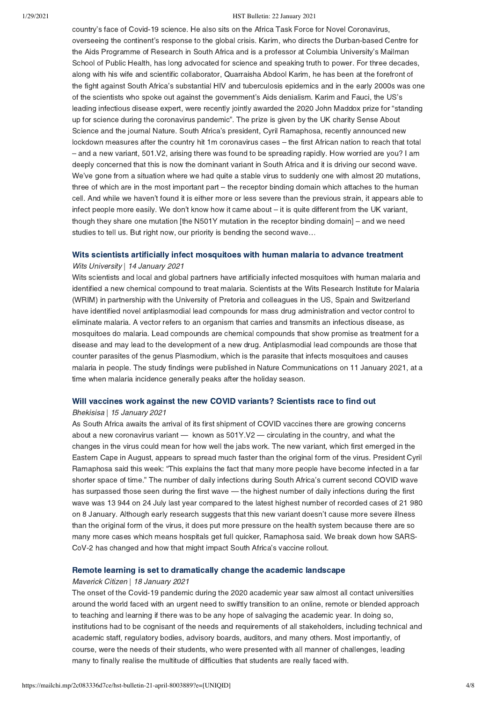country's face of Covid-19 science. He also sits on the Africa Task Force for Novel Coronavirus, overseeing the continent's response to the global crisis. Karim, who directs the Durban-based Centre for the Aids Programme of Research in South Africa and is a professor at Columbia University's Mailman School of Public Health, has long advocated for science and speaking truth to power. For three decades, along with his wife and scientific collaborator, Quarraisha Abdool Karim, he has been at the forefront of the fight against South Africa's substantial HIV and tuberculosis epidemics and in the early 2000s was one of the scientists who spoke out against the government's Aids denialism. Karim and Fauci, the US's leading infectious disease expert, were recently jointly awarded the 2020 John Maddox prize for "standing up for science during the coronavirus pandemic". The prize is given by the UK charity Sense About Science and the journal Nature. South Africa's president, Cyril Ramaphosa, recently announced new lockdown measures after the country hit 1m coronavirus cases – the first African nation to reach that total – and a new variant, 501.V2, arising there was found to be spreading rapidly. How worried are you? I am deeply concerned that this is now the dominant variant in South Africa and it is driving our second wave. We've gone from a situation where we had quite a stable virus to suddenly one with almost 20 mutations, three of which are in the most important part – the receptor binding domain which attaches to the human cell. And while we haven't found it is either more or less severe than the previous strain, it appears able to infect people more easily. We don't know how it came about – it is quite different from the UK variant, though they share one mutation [the N501Y mutation in the receptor binding domain] – and we need studies to tell us. But right now, our priority is bending the second wave…

#### [Wits scientists artificially infect mosquitoes with human malaria to advance treatment](https://www.wits.ac.za/news/latest-news/research-news/2021/2021-01/wits-scientists-artificially-infect-mosquitoes-with-human-malaria-to-advance-treatment.html%C2%A0)

### Wits University | 14 January 2021

Wits scientists and local and global partners have artificially infected mosquitoes with human malaria and identified a new chemical compound to treat malaria. Scientists at the Wits Research Institute for Malaria (WRIM) in partnership with the University of Pretoria and colleagues in the US, Spain and Switzerland have identified novel antiplasmodial lead compounds for mass drug administration and vector control to eliminate malaria. A vector refers to an organism that carries and transmits an infectious disease, as mosquitoes do malaria. Lead compounds are chemical compounds that show promise as treatment for a disease and may lead to the development of a new drug. Antiplasmodial lead compounds are those that counter parasites of the genus Plasmodium, which is the parasite that infects mosquitoes and causes malaria in people. The study findings were published in Nature Communications on 11 January 2021, at a time when malaria incidence generally peaks after the holiday season.

## [Will vaccines work against the new COVID variants? Scientists race to find out](https://bhekisisa.org/health-news-south-africa/2021-01-15-will-vaccines-work-against-the-new-covid-variants-scientists-race-to-find-out/)

#### Bhekisisa | 15 January 2021

As South Africa awaits the arrival of its first shipment of COVID vaccines there are growing concerns about a new coronavirus variant — known as 501Y.V2 — circulating in the country, and what the changes in the virus could mean for how well the jabs work. The new variant, which first emerged in the Eastern Cape in August, appears to spread much faster than the original form of the virus. President Cyril Ramaphosa said this week: "This explains the fact that many more people have become infected in a far shorter space of time." The number of daily infections during South Africa's current second COVID wave has surpassed those seen during the first wave — the highest number of daily infections during the first wave was 13 944 on 24 July last year compared to the latest highest number of recorded cases of 21 980 on 8 January. Although early research suggests that this new variant doesn't cause more severe illness than the original form of the virus, it does put more pressure on the health system because there are so many more cases which means hospitals get full quicker, Ramaphosa said. We break down how SARS-CoV-2 has changed and how that might impact South Africa's vaccine rollout.

#### [Remote learning is set to dramatically change the academic landscape](https://www.dailymaverick.co.za/article/2021-01-18-remote-learning-is-set-to-dramatically-change-the-academic-landscape/%C2%A0)

#### Maverick Citizen | 18 January 2021

The onset of the Covid-19 pandemic during the 2020 academic year saw almost all contact universities around the world faced with an urgent need to swiftly transition to an online, remote or blended approach to teaching and learning if there was to be any hope of salvaging the academic year. In doing so, institutions had to be cognisant of the needs and requirements of all stakeholders, including technical and academic staff, regulatory bodies, advisory boards, auditors, and many others. Most importantly, of course, were the needs of their students, who were presented with all manner of challenges, leading many to finally realise the multitude of difficulties that students are really faced with.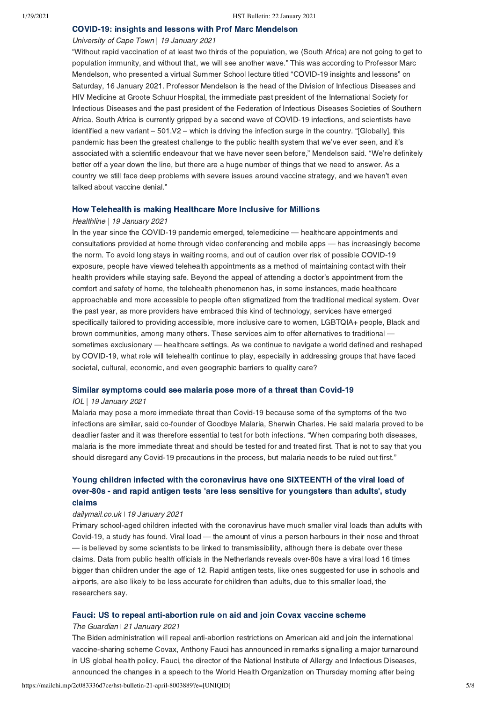## [COVID-19: insights and lessons with Prof Marc Mendelson](https://www.news.uct.ac.za/article/-2021-01-19-covid-19-insights-and-lessons-with-prof-marc-mendelson%C2%A0)

## University of Cape Town | 19 January 2021

"Without rapid vaccination of at least two thirds of the population, we (South Africa) are not going to get to population immunity, and without that, we will see another wave." This was according to Professor Marc Mendelson, who presented a virtual Summer School lecture titled "COVID-19 insights and lessons" on Saturday, 16 January 2021. Professor Mendelson is the head of the Division of Infectious Diseases and HIV Medicine at Groote Schuur Hospital, the immediate past president of the International Society for Infectious Diseases and the past president of the Federation of Infectious Diseases Societies of Southern Africa. South Africa is currently gripped by a second wave of COVID-19 infections, and scientists have identified a new variant – 501.V2 – which is driving the infection surge in the country. "[Globally], this pandemic has been the greatest challenge to the public health system that we've ever seen, and it's associated with a scientific endeavour that we have never seen before," Mendelson said. "We're definitely better off a year down the line, but there are a huge number of things that we need to answer. As a country we still face deep problems with severe issues around vaccine strategy, and we haven't even talked about vaccine denial."

#### [How Telehealth is making Healthcare More Inclusive for Millions](https://www.healthline.com/health-news/how-telehealth-is-making-healthcare-more-inclusive-for-millions)

#### Healthline | 19 January 2021

In the year since the COVID-19 pandemic emerged, telemedicine — healthcare appointments and consultations provided at home through video conferencing and mobile apps — has increasingly become the norm. To avoid long stays in waiting rooms, and out of caution over risk of possible COVID-19 exposure, people have viewed telehealth appointments as a method of maintaining contact with their health providers while staying safe. Beyond the appeal of attending a doctor's appointment from the comfort and safety of home, the telehealth phenomenon has, in some instances, made healthcare approachable and more accessible to people often stigmatized from the traditional medical system. Over the past year, as more providers have embraced this kind of technology, services have emerged specifically tailored to providing accessible, more inclusive care to women, LGBTQIA+ people, Black and brown communities, among many others. These services aim to offer alternatives to traditional sometimes exclusionary — healthcare settings. As we continue to navigate a world defined and reshaped by COVID-19, what role will telehealth continue to play, especially in addressing groups that have faced societal, cultural, economic, and even geographic barriers to quality care?

#### [Similar symptoms could see malaria pose more of a threat than Covid-19](https://www.iol.co.za/pretoria-news/news/similar-symptoms-could-see-malaria-pose-more-of-a-threat-than-covid-19-c3e464d8-16fe-4b16-b4ac-516e22f06891)

#### IOL | 19 January 2021

Malaria may pose a more immediate threat than Covid-19 because some of the symptoms of the two infections are similar, said co-founder of Goodbye Malaria, Sherwin Charles. He said malaria proved to be deadlier faster and it was therefore essential to test for both infections. "When comparing both diseases, malaria is the more immediate threat and should be tested for and treated first. That is not to say that you should disregard any Covid-19 precautions in the process, but malaria needs to be ruled out first."

# Young children infected with the coronavirus have one SIXTEENTH of the viral load of [over-80s - and rapid antigen tests 'are less sensitive for youngsters than adults', study](https://www.dailymail.co.uk/sciencetech/article-9160303/Children-infected-coronavirus-viral-load-16-TIMES-smaller-80s.html) claims

### dailymail.co.uk | 19 January 2021

Primary school-aged children infected with the coronavirus have much smaller viral loads than adults with Covid-19, a study has found. Viral load — the amount of virus a person harbours in their nose and throat — is believed by some scientists to be linked to transmissibility, although there is debate over these claims. Data from public health officials in the Netherlands reveals over-80s have a viral load 16 times bigger than children under the age of 12. Rapid antigen tests, like ones suggested for use in schools and airports, are also likely to be less accurate for children than adults, due to this smaller load, the researchers say.

## [Fauci: US to repeal anti-abortion rule on aid and join Covax vaccine scheme](https://www.theguardian.com/us-news/2021/jan/21/fauci-us-repeal-anti-abortion-rule-aid-join-covax-vaccine-scheme)

#### The Guardian | 21 January 2021

The Biden administration will repeal anti-abortion restrictions on American aid and join the international vaccine-sharing scheme Covax, Anthony Fauci has announced in remarks signalling a major turnaround in US global health policy. Fauci, the director of the National Institute of Allergy and Infectious Diseases, announced the changes in a speech to the World Health Organization on Thursday morning after being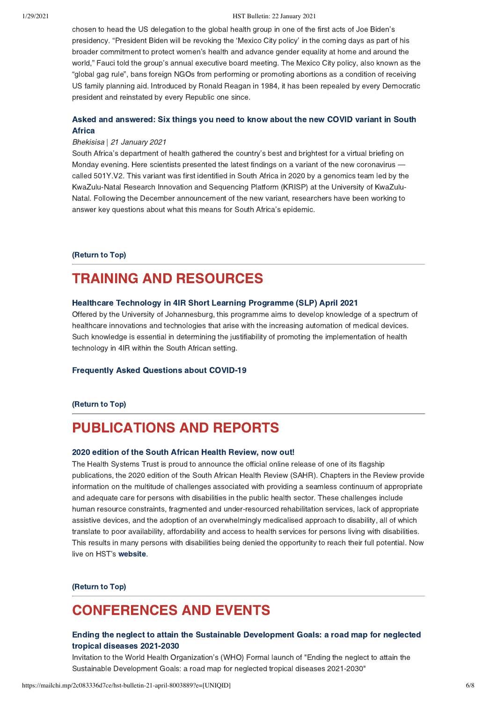chosen to head the US delegation to the global health group in one of the first acts of Joe Biden's presidency. "President Biden will be revoking the 'Mexico City policy' in the coming days as part of his broader commitment to protect women's health and advance gender equality at home and around the world," Fauci told the group's annual executive board meeting. The Mexico City policy, also known as the "global gag rule", bans foreign NGOs from performing or promoting abortions as a condition of receiving US family planning aid. Introduced by Ronald Reagan in 1984, it has been repealed by every Democratic president and reinstated by every Republic one since.

# [Asked and answered: Six things you need to know about the new COVID variant in South](https://bhekisisa.org/resources/2021-01-21-asked-and-answered-six-things-you-need-to-know-about-the-new-501y-v2-variant-in-south-africa/?utm_campaign=Bhekisisa-In-Your-Inbox&utm_medium=Email&utm_source=21-January-newsletter&utm_source=Bhekisisa+in+your+inbox&utm_campaign=53bd1d46da-Bhekisisa_Newsletter_21Jan2021&utm_medium=email&utm_term=0_cd2e6e958b-53bd1d46da-139508393&mc_cid=53bd1d46da&mc_eid=0f3cb9077c) **Africa**

### Bhekisisa | 21 January 2021

South Africa's department of health gathered the country's best and brightest for a virtual briefing on Monday evening. Here scientists presented the latest findings on a variant of the new coronavirus called 501Y.V2. This variant was first identified in South Africa in 2020 by a genomics team led by the KwaZulu-Natal Research Innovation and Sequencing Platform (KRISP) at the University of KwaZulu-Natal. Following the December announcement of the new variant, researchers have been working to answer key questions about what this means for South Africa's epidemic.

[\(Return to Top\)](#page-0-1)

# <span id="page-5-0"></span>TRAINING AND RESOURCES

## [Healthcare Technology in 4IR Short Learning Programme \(SLP\) April 2021](https://www.linkedin.com/posts/university-of-johannesburg_healthcare-technology-in-4ir-short-learning-activity-6757221018768576512-1W-v/%C2%A0)

Offered by the University of Johannesburg, this programme aims to develop knowledge of a spectrum of healthcare innovations and technologies that arise with the increasing automation of medical devices. Such knowledge is essential in determining the justifiability of promoting the implementation of health technology in 4IR within the South African setting.

## [Frequently Asked Questions about COVID-19](https://sacoronavirus.co.za/faqs/%C2%A0)

## [\(Return to Top\)](#page-0-1)

# PUBLICATIONS AND REPORTS

#### [2020 edition of the South African Health Review, now out!](https://www.hst.org.za/publications/Pages/SAHR2020.aspx%C2%A0)

The Health Systems Trust is proud to announce the official online release of one of its flagship publications, the 2020 edition of the South African Health Review (SAHR). Chapters in the Review provide information on the multitude of challenges associated with providing a seamless continuum of appropriate and adequate care for persons with disabilities in the public health sector. These challenges include human resource constraints, fragmented and under-resourced rehabilitation services, lack of appropriate assistive devices, and the adoption of an overwhelmingly medicalised approach to disability, all of which translate to poor availability, affordability and access to health services for persons living with disabilities. This results in many persons with disabilities being denied the opportunity to reach their full potential. Now live on HST's [website](https://www.hst.org.za/publications/Pages/SAHR2020.aspx%C2%A0).

#### [\(Return to Top\)](#page-0-1)

# <span id="page-5-1"></span>CONFERENCES AND EVENTS

# [Ending the neglect to attain the Sustainable Development Goals: a road map for neglected](https://who.zoom.us/webinar/register/WN_0-XfZsDjQTSpBsVaTIAS0Q) tropical diseases 2021-2030

Invitation to the World Health Organization's (WHO) Formal launch of "Ending the neglect to attain the Sustainable Development Goals: a road map for neglected tropical diseases 2021-2030"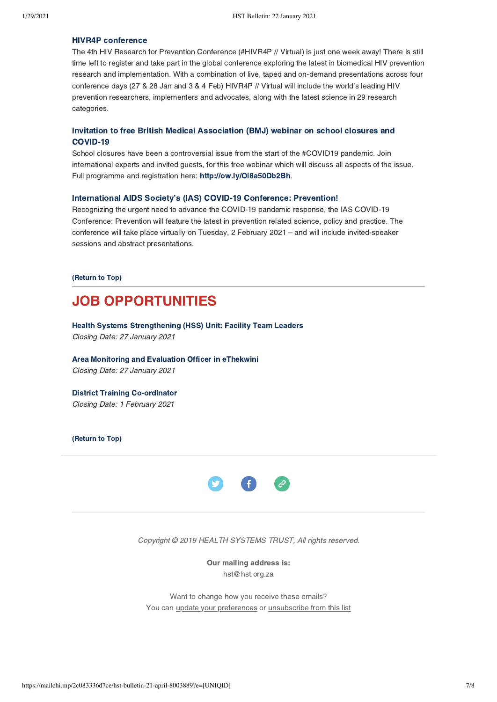## [HIVR4P conference](https://www.hivr4p.org/)

The 4th HIV Research for Prevention Conference (#HIVR4P // Virtual) is just one week away! There is still time left to register and take part in the global conference exploring the latest in biomedical HIV prevention research and implementation. With a combination of live, taped and on-demand presentations across four conference days (27 & 28 Jan and 3 & 4 Feb) HIVR4P // Virtual will include the world's leading HIV prevention researchers, implementers and advocates, along with the latest science in 29 research categories.

## [Invitation to free British Medical Association \(BMJ\) webinar on school closures and](http://ow.ly/Oi8a50Db2Bh) COVID-19

School closures have been a controversial issue from the start of the #COVID19 pandemic. Join international experts and invited guests, for this free webinar which will discuss all aspects of the issue. Full programme and registration here: <http://ow.ly/Oi8a50Db2Bh>.

## [International AIDS Society's \(IAS\) COVID-19 Conference: Prevention!](https://covid19.iasociety.org/%C2%A0)

Recognizing the urgent need to advance the COVID-19 pandemic response, the IAS COVID-19 Conference: Prevention will feature the latest in prevention related science, policy and practice. The conference will take place virtually on Tuesday, 2 February 2021 – and will include invited-speaker sessions and abstract presentations.

#### [\(Return to Top\)](#page-0-1)

# <span id="page-6-0"></span>JOB OPPORTUNITIES

[Health Systems Strengthening \(HSS\) Unit: Facility Team Leaders](https://www.hst.org.za/Pages/Facility-Team-Leaders-(5).aspx) Closing Date: 27 January 2021

[Area Monitoring and Evaluation Officer in eThekwini](https://www.hst.org.za/Pages/Area-Monitoring-And-Evaluation-Officers-eThekwini.aspx) Closing Date: 27 January 2021

## [District Training Co-ordinator](https://www.hst.org.za/Pages/District-Training-Co-ordinator-(HSS)-.aspx) Closing Date: 1 February 2021

[\(Return to Top\)](#page-0-1)



Copyright © 2019 HEALTH SYSTEMS TRUST, All rights reserved.

Our mailing address is: hst@hst.org.za

Want to change how you receive these emails? You can *[update your preferences](https://hst.us14.list-manage.com/profile?u=72d7614ab973e486252cafb97&id=ac4ca52ce0&e=[UNIQID])* or *unsubscribe from this list*